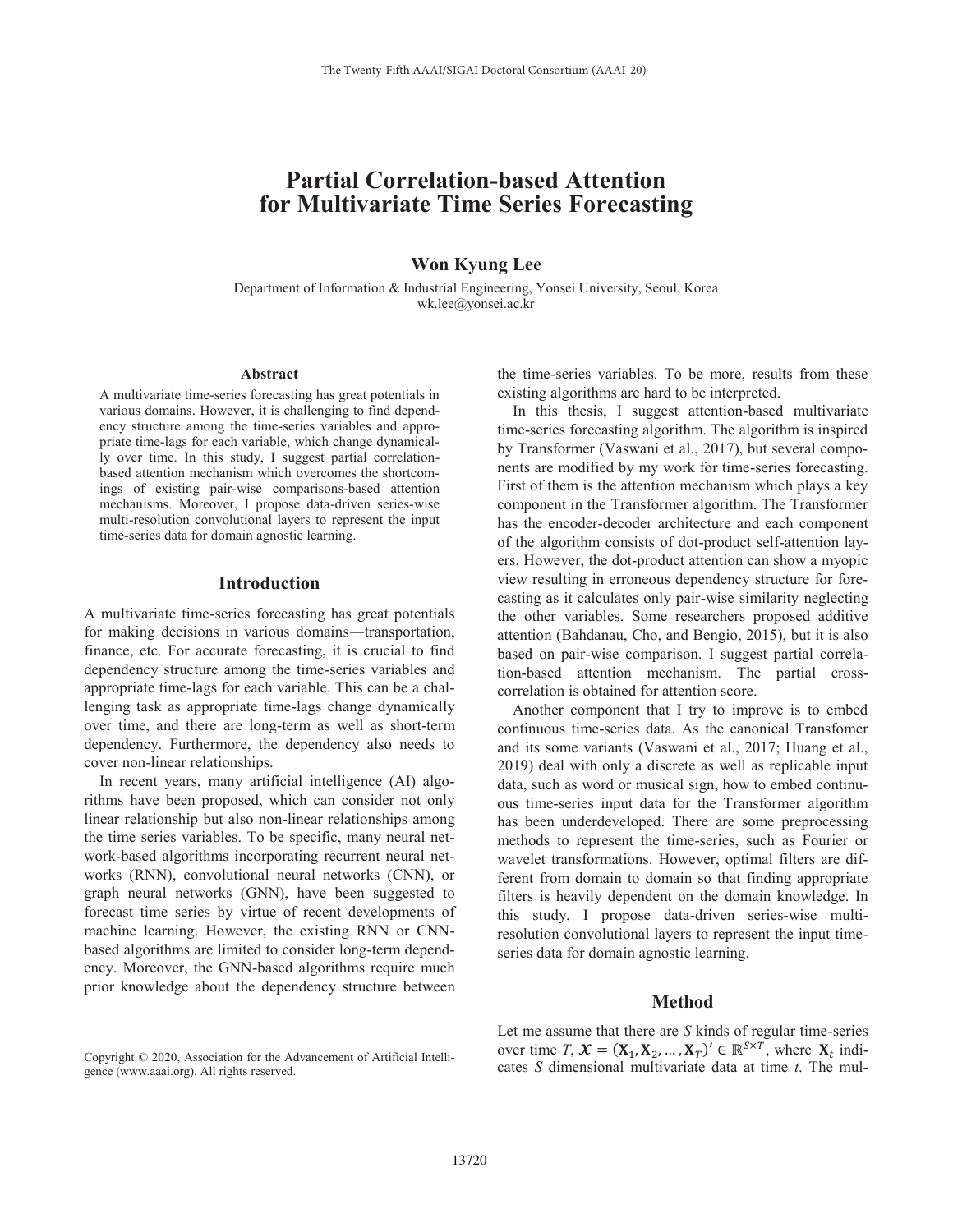# **Partial Correlation-based Attention for Multivariate Time Series Forecasting**

## **Won Kyung Lee**

Department of Information & Industrial Engineering, Yonsei University, Seoul, Korea wk.lee@yonsei.ac.kr

#### **Abstract**

A multivariate time-series forecasting has great potentials in various domains. However, it is challenging to find dependency structure among the time-series variables and appropriate time-lags for each variable, which change dynamically over time. In this study, I suggest partial correlationbased attention mechanism which overcomes the shortcomings of existing pair-wise comparisons-based attention mechanisms. Moreover, I propose data-driven series-wise multi-resolution convolutional layers to represent the input time-series data for domain agnostic learning.

#### **Introduction**

A multivariate time-series forecasting has great potentials for making decisions in various domains—transportation, finance, etc. For accurate forecasting, it is crucial to find dependency structure among the time-series variables and appropriate time-lags for each variable. This can be a challenging task as appropriate time-lags change dynamically over time, and there are long-term as well as short-term dependency. Furthermore, the dependency also needs to cover non-linear relationships.

In recent years, many artificial intelligence (AI) algorithms have been proposed, which can consider not only linear relationship but also non-linear relationships among the time series variables. To be specific, many neural network-based algorithms incorporating recurrent neural networks (RNN), convolutional neural networks (CNN), or graph neural networks (GNN), have been suggested to forecast time series by virtue of recent developments of machine learning. However, the existing RNN or CNNbased algorithms are limited to consider long-term dependency. Moreover, the GNN-based algorithms require much prior knowledge about the dependency structure between

 $\overline{a}$ 

the time-series variables. To be more, results from these existing algorithms are hard to be interpreted.

In this thesis, I suggest attention-based multivariate time-series forecasting algorithm. The algorithm is inspired by Transformer (Vaswani et al., 2017), but several components are modified by my work for time-series forecasting. First of them is the attention mechanism which plays a key component in the Transformer algorithm. The Transformer has the encoder-decoder architecture and each component of the algorithm consists of dot-product self-attention layers. However, the dot-product attention can show a myopic view resulting in erroneous dependency structure for forecasting as it calculates only pair-wise similarity neglecting the other variables. Some researchers proposed additive attention (Bahdanau, Cho, and Bengio, 2015), but it is also based on pair-wise comparison. I suggest partial correlation-based attention mechanism. The partial crosscorrelation is obtained for attention score.

Another component that I try to improve is to embed continuous time-series data. As the canonical Transfomer and its some variants (Vaswani et al., 2017; Huang et al., 2019) deal with only a discrete as well as replicable input data, such as word or musical sign, how to embed continuous time-series input data for the Transformer algorithm has been underdeveloped. There are some preprocessing methods to represent the time-series, such as Fourier or wavelet transformations. However, optimal filters are different from domain to domain so that finding appropriate filters is heavily dependent on the domain knowledge. In this study, I propose data-driven series-wise multiresolution convolutional layers to represent the input timeseries data for domain agnostic learning.

### **Method**

Let me assume that there are *S* kinds of regular time-series over time *T*,  $\mathbf{X} = (\mathbf{X}_1, \mathbf{X}_2, ..., \mathbf{X}_T)^{\prime} \in \mathbb{R}^{S \times T}$ , where  $\mathbf{X}_t$  indicates *S* dimensional multivariate data at time *t*. The mul-

Copyright © 2020, Association for the Advancement of Artificial Intelligence (www.aaai.org). All rights reserved.